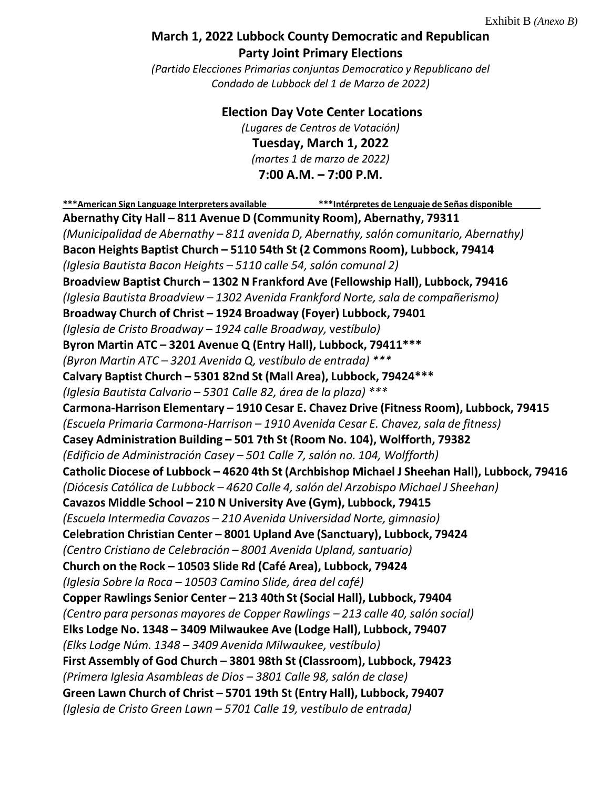## **March 1, 2022 Lubbock County Democratic and Republican Party Joint Primary Elections**

*(Partido Elecciones Primarias conjuntas Democratico y Republicano del Condado de Lubbock del 1 de Marzo de 2022)*

**Election Day Vote Center Locations**

*(Lugares de Centros de Votación)* **Tuesday, March 1, 2022** *(martes 1 de marzo de 2022)*

## **7:00 A.M. – 7:00 P.M.**

**\*\*\*American Sign Language Interpreters available \*\*\*Intérpretes de Lenguaje de Señas disponible Abernathy City Hall – 811 Avenue D (Community Room), Abernathy, 79311** *(Municipalidad de Abernathy – 811 avenida D, Abernathy,salón comunitario, Abernathy)* **Bacon Heights Baptist Church – 5110 54th St (2 Commons Room), Lubbock, 79414** *(Iglesia Bautista Bacon Heights – 5110 calle 54, salón comunal 2)* **Broadview Baptist Church – 1302 N Frankford Ave (Fellowship Hall), Lubbock, 79416** *(Iglesia Bautista Broadview – 1302 Avenida Frankford Norte,sala de compañerismo)* **Broadway Church of Christ – 1924 Broadway (Foyer) Lubbock, 79401** *(Iglesia de Cristo Broadway – 1924 calle Broadway,* v*estíbulo)* **Byron Martin ATC – 3201 Avenue Q (Entry Hall), Lubbock, 79411\*\*\*** *(Byron Martin ATC – 3201 Avenida Q, vestíbulo de entrada) \*\*\** **Calvary Baptist Church – 5301 82nd St (Mall Area), Lubbock, 79424\*\*\*** *(Iglesia Bautista Calvario – 5301 Calle 82, área de la plaza) \*\*\** **Carmona-Harrison Elementary – 1910 Cesar E. Chavez Drive (Fitness Room), Lubbock, 79415** *(Escuela Primaria Carmona-Harrison – 1910 Avenida Cesar E. Chavez,sala de fitness)* **Casey Administration Building – 501 7th St (Room No. 104), Wolfforth, 79382** *(Edificio de Administración Casey – 501 Calle 7,salón no. 104, Wolfforth)* **Catholic Diocese of Lubbock – 4620 4th St (Archbishop Michael J Sheehan Hall), Lubbock, 79416** *(Diócesis Católica de Lubbock – 4620 Calle 4, salón del Arzobispo Michael J Sheehan)* **Cavazos Middle School – 210 N University Ave (Gym), Lubbock, 79415** *(Escuela Intermedia Cavazos – 210 Avenida Universidad Norte, gimnasio)* **Celebration Christian Center – 8001 Upland Ave (Sanctuary), Lubbock, 79424** *(Centro Cristiano de Celebración – 8001 Avenida Upland,santuario)* **Church on the Rock – 10503 Slide Rd (Café Area), Lubbock, 79424** *(Iglesia Sobre la Roca – 10503 Camino Slide, área del café)* **Copper Rawlings Senior Center – 213 40thSt (Social Hall), Lubbock, 79404** *(Centro para personas mayores de Copper Rawlings – 213 calle 40,salón social)* **Elks Lodge No. 1348 – 3409 Milwaukee Ave (Lodge Hall), Lubbock, 79407** *(Elks Lodge Núm. 1348 – 3409 Avenida Milwaukee, vestíbulo)* **First Assembly of God Church – 3801 98th St (Classroom), Lubbock, 79423** *(Primera Iglesia Asambleas de Dios – 3801 Calle 98,salón de clase)* **Green Lawn Church of Christ – 5701 19th St (Entry Hall), Lubbock, 79407** *(Iglesia de Cristo Green Lawn – 5701 Calle 19, vestíbulo de entrada)*